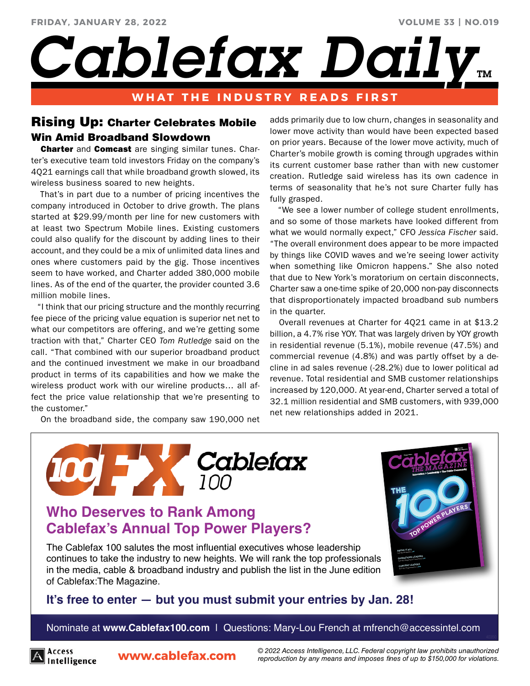**VOLUME 33 | NO.019**

*Cablefax Daily* 

## **WHAT THE INDUSTRY READS FIRST**

# Rising Up: Charter Celebrates Mobile Win Amid Broadband Slowdown

**Charter** and **Comcast** are singing similar tunes. Charter's executive team told investors Friday on the company's 4Q21 earnings call that while broadband growth slowed, its wireless business soared to new heights.

 That's in part due to a number of pricing incentives the company introduced in October to drive growth. The plans started at \$29.99/month per line for new customers with at least two Spectrum Mobile lines. Existing customers could also qualify for the discount by adding lines to their account, and they could be a mix of unlimited data lines and ones where customers paid by the gig. Those incentives seem to have worked, and Charter added 380,000 mobile lines. As of the end of the quarter, the provider counted 3.6 million mobile lines.

 "I think that our pricing structure and the monthly recurring fee piece of the pricing value equation is superior net net to what our competitors are offering, and we're getting some traction with that," Charter CEO *Tom Rutledge* said on the call. "That combined with our superior broadband product and the continued investment we make in our broadband product in terms of its capabilities and how we make the wireless product work with our wireline products… all affect the price value relationship that we're presenting to the customer."

On the broadband side, the company saw 190,000 net

adds primarily due to low churn, changes in seasonality and lower move activity than would have been expected based on prior years. Because of the lower move activity, much of Charter's mobile growth is coming through upgrades within its current customer base rather than with new customer creation. Rutledge said wireless has its own cadence in terms of seasonality that he's not sure Charter fully has fully grasped.

 "We see a lower number of college student enrollments, and so some of those markets have looked different from what we would normally expect," CFO *Jessica Fischer* said. "The overall environment does appear to be more impacted by things like COVID waves and we're seeing lower activity when something like Omicron happens." She also noted that due to New York's moratorium on certain disconnects, Charter saw a one-time spike of 20,000 non-pay disconnects that disproportionately impacted broadband sub numbers in the quarter.

 Overall revenues at Charter for 4Q21 came in at \$13.2 billion, a 4.7% rise YOY. That was largely driven by YOY growth in residential revenue (5.1%), mobile revenue (47.5%) and commercial revenue (4.8%) and was partly offset by a decline in ad sales revenue (-28.2%) due to lower political ad revenue. Total residential and SMB customer relationships increased by 120,000. At year-end, Charter served a total of 32.1 million residential and SMB customers, with 939,000 net new relationships added in 2021.



# **Who Deserves to Rank Among Cablefax's Annual Top Power Players?**

The Cablefax 100 salutes the most influential executives whose leadership continues to take the industry to new heights. We will rank the top professionals in the media, cable & broadband industry and publish the list in the June edition of Cablefax:The Magazine.



## **[It's free to enter — but you must submit your entries by Jan. 28!](http://www.cablefax100.com/)**

Nominate at **www.Cablefax100.com** | Questions: Mary-Lou French at mfrench@accessintel.com



**www.cablefax.com** *© 2022 Access Intelligence, LLC. Federal copyright law prohibits unauthorized reproduction by any means and imposes fines of up to \$150,000 for violations.*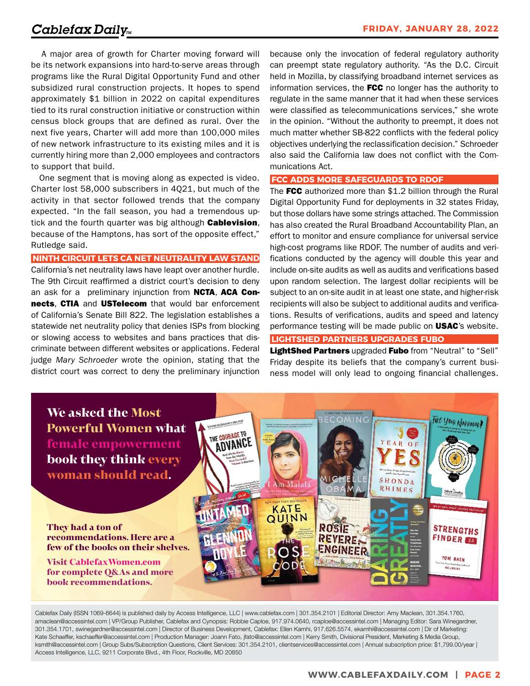A major area of growth for Charter moving forward will be its network expansions into hard-to-serve areas through programs like the Rural Digital Opportunity Fund and other subsidized rural construction projects. It hopes to spend approximately \$1 billion in 2022 on capital expenditures tied to its rural construction initiative or construction within census block groups that are defined as rural. Over the next five years, Charter will add more than 100,000 miles of new network infrastructure to its existing miles and it is currently hiring more than 2,000 employees and contractors to support that build.

 One segment that is moving along as expected is video. Charter lost 58,000 subscribers in 4Q21, but much of the activity in that sector followed trends that the company expected. "In the fall season, you had a tremendous uptick and the fourth quarter was big although **Cablevision**, because of the Hamptons, has sort of the opposite effect," Rutledge said.

**NINTH CIRCUIT LETS CA NET NEUTRALITY LAW STAND**

California's net neutrality laws have leapt over another hurdle. The 9th Circuit reaffirmed a district court's decision to deny an ask for a preliminary injunction from **NCTA, ACA Con**nects, CTIA and USTelecom that would bar enforcement of California's Senate Bill 822. The legislation establishes a statewide net neutrality policy that denies ISPs from blocking or slowing access to websites and bans practices that discriminate between different websites or applications. Federal judge *Mary Schroeder* wrote the opinion, stating that the district court was correct to deny the preliminary injunction

because only the invocation of federal regulatory authority can preempt state regulatory authority. "As the D.C. Circuit held in Mozilla, by classifying broadband internet services as information services, the FCC no longer has the authority to regulate in the same manner that it had when these services were classified as telecommunications services," she wrote in the opinion. "Without the authority to preempt, it does not much matter whether SB-822 conflicts with the federal policy objectives underlying the reclassification decision." Schroeder also said the California law does not conflict with the Communications Act.

### **FCC ADDS MORE SAFEGUARDS TO RDOF**

The FCC authorized more than \$1.2 billion through the Rural Digital Opportunity Fund for deployments in 32 states Friday, but those dollars have some strings attached. The Commission has also created the Rural Broadband Accountability Plan, an effort to monitor and ensure compliance for universal service high-cost programs like RDOF. The number of audits and verifications conducted by the agency will double this year and include on-site audits as well as audits and verifications based upon random selection. The largest dollar recipients will be subject to an on-site audit in at least one state, and higher-risk recipients will also be subject to additional audits and verifications. Results of verifications, audits and speed and latency performance testing will be made public on **USAC**'s website.

## **LIGHTSHED PARTNERS UPGRADES FUBO**

LightShed Partners upgraded Fubo from "Neutral" to "Sell" Friday despite its beliefs that the company's current business model will only lead to ongoing financial challenges.



Cablefax Daily (ISSN 1069-6644) is published daily by Access Intelligence, LLC | www.cablefax.com | 301.354.2101 | Editorial Director: Amy Maclean, 301.354.1760, amaclean@accessintel.com | VP/Group Publisher, Cablefax and Cynopsis: Robbie Caploe, 917.974.0640, rcaploe@accessintel.com | Managing Editor: Sara Winegardner, 301.354.1701, swinegardner@accessintel.com | Director of Business Development, Cablefax: Ellen Kamhi, 917.626.5574, ekamhi@accessintel.com | Dir of Marketing: Kate Schaeffer, kschaeffer@accessintel.com | Production Manager: Joann Fato, jfato@accessintel.com | Kerry Smith, Divisional President, Marketing & Media Group, ksmith@accessintel.com | Group Subs/Subscription Questions, Client Services: 301.354.2101, clientservices@accessintel.com | Annual subscription price: \$1,799.00/year | Access Intelligence, LLC, 9211 Corporate Blvd., 4th Floor, Rockville, MD 20850